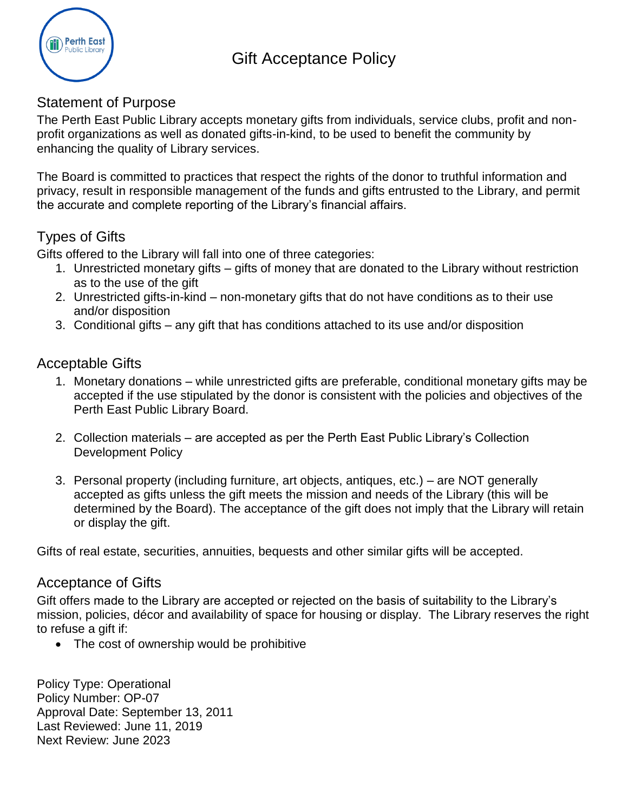

# Gift Acceptance Policy

#### Statement of Purpose

The Perth East Public Library accepts monetary gifts from individuals, service clubs, profit and nonprofit organizations as well as donated gifts-in-kind, to be used to benefit the community by enhancing the quality of Library services.

The Board is committed to practices that respect the rights of the donor to truthful information and privacy, result in responsible management of the funds and gifts entrusted to the Library, and permit the accurate and complete reporting of the Library's financial affairs.

## Types of Gifts

Gifts offered to the Library will fall into one of three categories:

- 1. Unrestricted monetary gifts gifts of money that are donated to the Library without restriction as to the use of the gift
- 2. Unrestricted gifts-in-kind non-monetary gifts that do not have conditions as to their use and/or disposition
- 3. Conditional gifts any gift that has conditions attached to its use and/or disposition

#### Acceptable Gifts

- 1. Monetary donations while unrestricted gifts are preferable, conditional monetary gifts may be accepted if the use stipulated by the donor is consistent with the policies and objectives of the Perth East Public Library Board.
- 2. Collection materials are accepted as per the Perth East Public Library's Collection Development Policy
- 3. Personal property (including furniture, art objects, antiques, etc.) are NOT generally accepted as gifts unless the gift meets the mission and needs of the Library (this will be determined by the Board). The acceptance of the gift does not imply that the Library will retain or display the gift.

Gifts of real estate, securities, annuities, bequests and other similar gifts will be accepted.

#### Acceptance of Gifts

Gift offers made to the Library are accepted or rejected on the basis of suitability to the Library's mission, policies, décor and availability of space for housing or display. The Library reserves the right to refuse a gift if:

• The cost of ownership would be prohibitive

Policy Type: Operational Policy Number: OP-07 Approval Date: September 13, 2011 Last Reviewed: June 11, 2019 Next Review: June 2023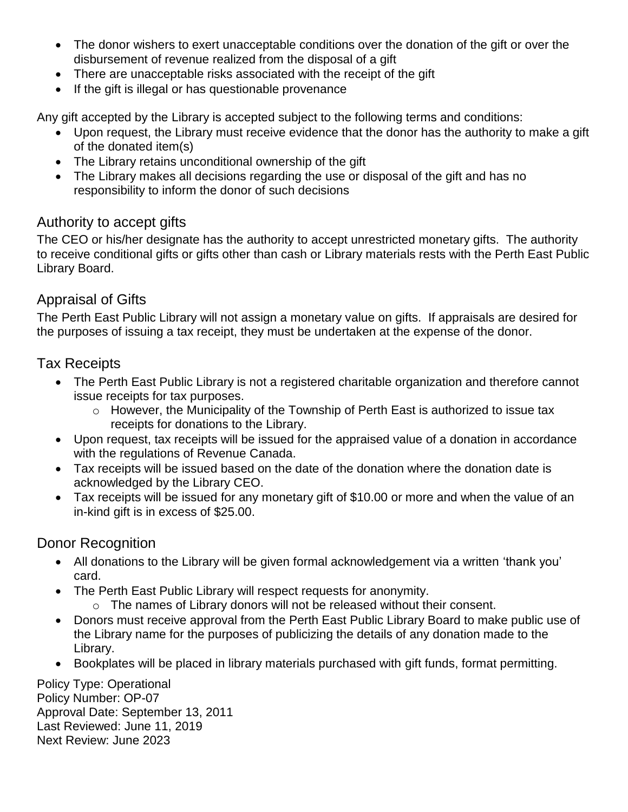- The donor wishers to exert unacceptable conditions over the donation of the gift or over the disbursement of revenue realized from the disposal of a gift
- There are unacceptable risks associated with the receipt of the gift
- If the gift is illegal or has questionable provenance

Any gift accepted by the Library is accepted subject to the following terms and conditions:

- Upon request, the Library must receive evidence that the donor has the authority to make a gift of the donated item(s)
- The Library retains unconditional ownership of the gift
- The Library makes all decisions regarding the use or disposal of the gift and has no responsibility to inform the donor of such decisions

# Authority to accept gifts

The CEO or his/her designate has the authority to accept unrestricted monetary gifts. The authority to receive conditional gifts or gifts other than cash or Library materials rests with the Perth East Public Library Board.

# Appraisal of Gifts

The Perth East Public Library will not assign a monetary value on gifts. If appraisals are desired for the purposes of issuing a tax receipt, they must be undertaken at the expense of the donor.

Tax Receipts

- The Perth East Public Library is not a registered charitable organization and therefore cannot issue receipts for tax purposes.
	- o However, the Municipality of the Township of Perth East is authorized to issue tax receipts for donations to the Library.
- Upon request, tax receipts will be issued for the appraised value of a donation in accordance with the regulations of Revenue Canada.
- Tax receipts will be issued based on the date of the donation where the donation date is acknowledged by the Library CEO.
- Tax receipts will be issued for any monetary gift of \$10.00 or more and when the value of an in-kind gift is in excess of \$25.00.

## Donor Recognition

- All donations to the Library will be given formal acknowledgement via a written 'thank you' card.
- The Perth East Public Library will respect requests for anonymity.
	- o The names of Library donors will not be released without their consent.
- Donors must receive approval from the Perth East Public Library Board to make public use of the Library name for the purposes of publicizing the details of any donation made to the Library.
- Bookplates will be placed in library materials purchased with gift funds, format permitting.

Policy Type: Operational Policy Number: OP-07 Approval Date: September 13, 2011 Last Reviewed: June 11, 2019 Next Review: June 2023